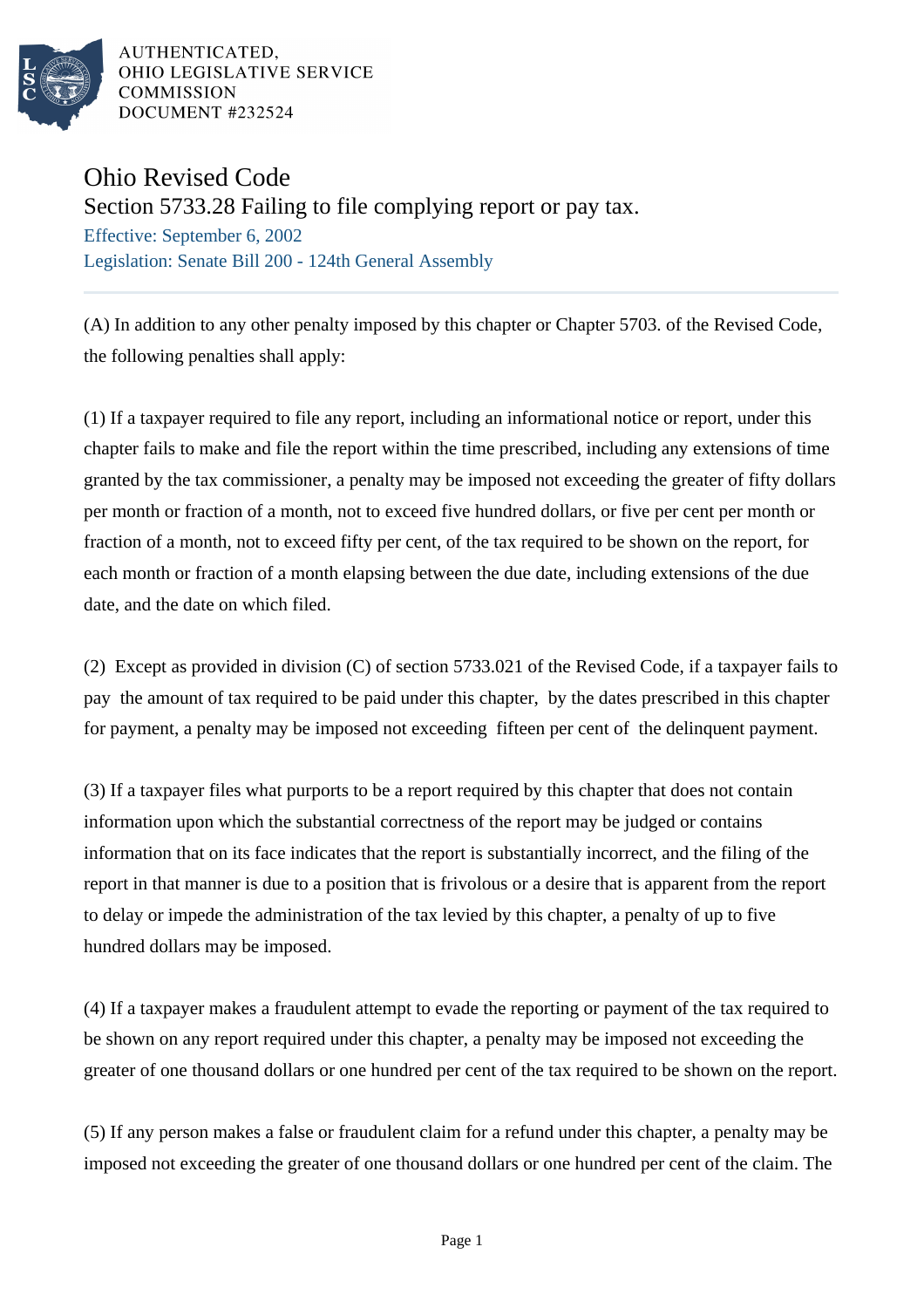

AUTHENTICATED, OHIO LEGISLATIVE SERVICE **COMMISSION** DOCUMENT #232524

## Ohio Revised Code

Section 5733.28 Failing to file complying report or pay tax.

Effective: September 6, 2002 Legislation: Senate Bill 200 - 124th General Assembly

(A) In addition to any other penalty imposed by this chapter or Chapter 5703. of the Revised Code, the following penalties shall apply:

(1) If a taxpayer required to file any report, including an informational notice or report, under this chapter fails to make and file the report within the time prescribed, including any extensions of time granted by the tax commissioner, a penalty may be imposed not exceeding the greater of fifty dollars per month or fraction of a month, not to exceed five hundred dollars, or five per cent per month or fraction of a month, not to exceed fifty per cent, of the tax required to be shown on the report, for each month or fraction of a month elapsing between the due date, including extensions of the due date, and the date on which filed.

(2) Except as provided in division (C) of section 5733.021 of the Revised Code, if a taxpayer fails to pay the amount of tax required to be paid under this chapter, by the dates prescribed in this chapter for payment, a penalty may be imposed not exceeding fifteen per cent of the delinquent payment.

(3) If a taxpayer files what purports to be a report required by this chapter that does not contain information upon which the substantial correctness of the report may be judged or contains information that on its face indicates that the report is substantially incorrect, and the filing of the report in that manner is due to a position that is frivolous or a desire that is apparent from the report to delay or impede the administration of the tax levied by this chapter, a penalty of up to five hundred dollars may be imposed.

(4) If a taxpayer makes a fraudulent attempt to evade the reporting or payment of the tax required to be shown on any report required under this chapter, a penalty may be imposed not exceeding the greater of one thousand dollars or one hundred per cent of the tax required to be shown on the report.

(5) If any person makes a false or fraudulent claim for a refund under this chapter, a penalty may be imposed not exceeding the greater of one thousand dollars or one hundred per cent of the claim. The